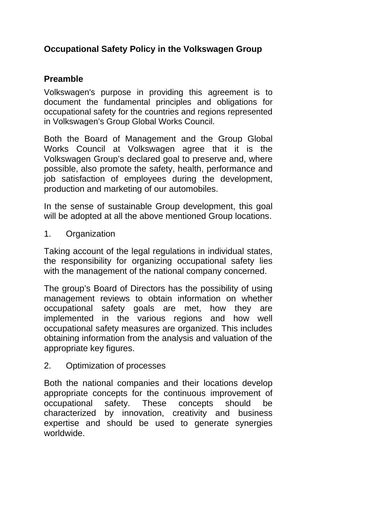## **Occupational Safety Policy in the Volkswagen Group**

## **Preamble**

Volkswagen's purpose in providing this agreement is to document the fundamental principles and obligations for occupational safety for the countries and regions represented in Volkswagen's Group Global Works Council.

Both the Board of Management and the Group Global Works Council at Volkswagen agree that it is the Volkswagen Group's declared goal to preserve and, where possible, also promote the safety, health, performance and job satisfaction of employees during the development, production and marketing of our automobiles.

In the sense of sustainable Group development, this goal will be adopted at all the above mentioned Group locations.

1. Organization

Taking account of the legal regulations in individual states, the responsibility for organizing occupational safety lies with the management of the national company concerned.

The group's Board of Directors has the possibility of using management reviews to obtain information on whether occupational safety goals are met, how they are implemented in the various regions and how well occupational safety measures are organized. This includes obtaining information from the analysis and valuation of the appropriate key figures.

2. Optimization of processes

Both the national companies and their locations develop appropriate concepts for the continuous improvement of occupational safety. These concepts should be characterized by innovation, creativity and business expertise and should be used to generate synergies worldwide.